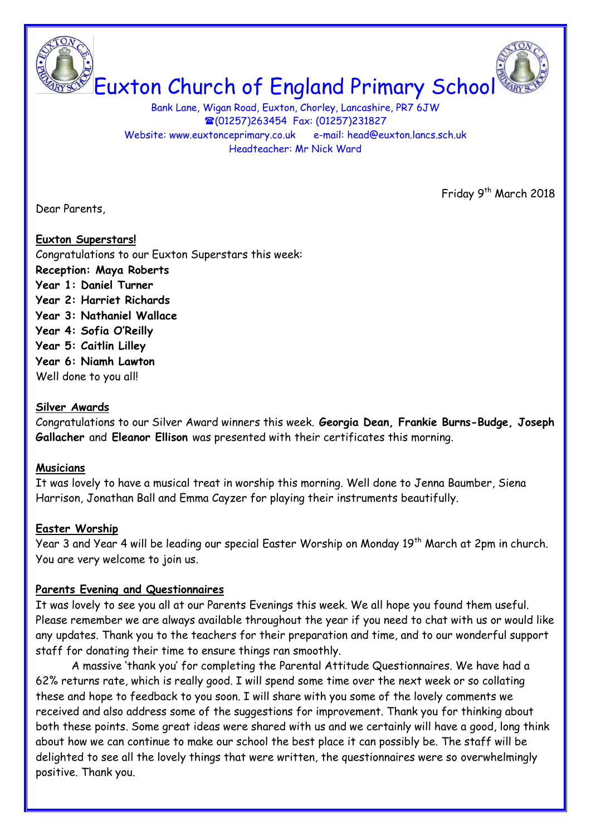

Bank Lane, Wigan Road, Euxton, Chorley, Lancashire, PR7 6JW (01257)263454 Fax: (01257)231827 Website: www.euxtonceprimary.co.uk e-mail: [head@euxton.lancs.sch.uk](mailto:head@euxton.lancs.sch.uk) Headteacher: Mr Nick Ward

Dear Parents,

Friday 9<sup>th</sup> March 2018

# **Euxton Superstars!**

Congratulations to our Euxton Superstars this week:

- **Reception: Maya Roberts**
- **Year 1: Daniel Turner**
- **Year 2: Harriet Richards**
- **Year 3: Nathaniel Wallace**
- **Year 4: Sofia O'Reilly**
- **Year 5: Caitlin Lilley**
- **Year 6: Niamh Lawton**
- Well done to you all!

## **Silver Awards**

Congratulations to our Silver Award winners this week. **Georgia Dean, Frankie Burns-Budge, Joseph Gallacher** and **Eleanor Ellison** was presented with their certificates this morning.

### **Musicians**

It was lovely to have a musical treat in worship this morning. Well done to Jenna Baumber, Siena Harrison, Jonathan Ball and Emma Cayzer for playing their instruments beautifully.

## **Easter Worship**

Year 3 and Year 4 will be leading our special Easter Worship on Monday 19<sup>th</sup> March at 2pm in church. You are very welcome to join us.

## **Parents Evening and Questionnaires**

It was lovely to see you all at our Parents Evenings this week. We all hope you found them useful. Please remember we are always available throughout the year if you need to chat with us or would like any updates. Thank you to the teachers for their preparation and time, and to our wonderful support staff for donating their time to ensure things ran smoothly.

A massive 'thank you' for completing the Parental Attitude Questionnaires. We have had a 62% returns rate, which is really good. I will spend some time over the next week or so collating these and hope to feedback to you soon. I will share with you some of the lovely comments we received and also address some of the suggestions for improvement. Thank you for thinking about both these points. Some great ideas were shared with us and we certainly will have a good, long think about how we can continue to make our school the best place it can possibly be. The staff will be delighted to see all the lovely things that were written, the questionnaires were so overwhelmingly positive. Thank you.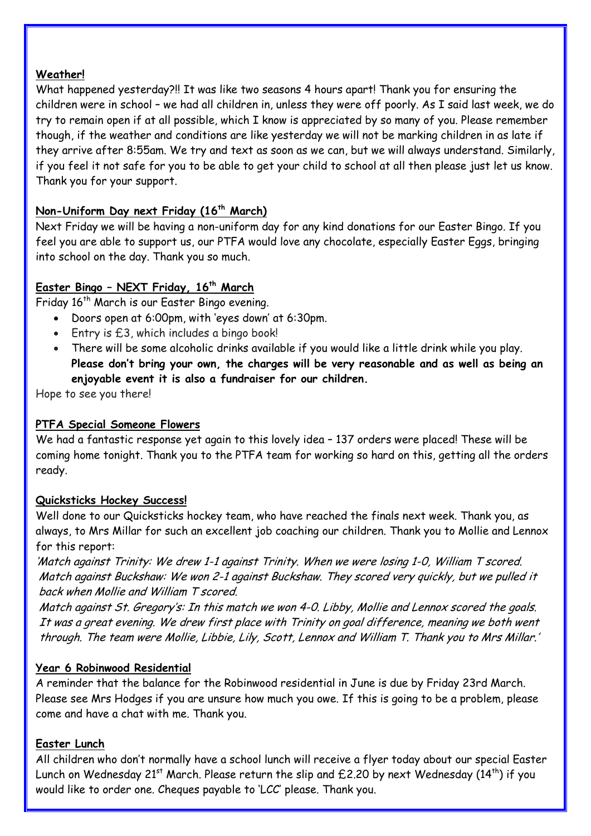### **Weather!**

What happened yesterday?!! It was like two seasons 4 hours apart! Thank you for ensuring the children were in school – we had all children in, unless they were off poorly. As I said last week, we do try to remain open if at all possible, which I know is appreciated by so many of you. Please remember though, if the weather and conditions are like yesterday we will not be marking children in as late if they arrive after 8:55am. We try and text as soon as we can, but we will always understand. Similarly, if you feel it not safe for you to be able to get your child to school at all then please just let us know. Thank you for your support.

## **Non-Uniform Day next Friday (16th March)**

Next Friday we will be having a non-uniform day for any kind donations for our Easter Bingo. If you feel you are able to support us, our PTFA would love any chocolate, especially Easter Eggs, bringing into school on the day. Thank you so much.

### **Easter Bingo – NEXT Friday, 16th March**

Friday 16<sup>th</sup> March is our Easter Bingo evening.

- Doors open at 6:00pm, with 'eyes down' at 6:30pm.
- Entry is £3, which includes a bingo book!
- There will be some alcoholic drinks available if you would like a little drink while you play. **Please don't bring your own, the charges will be very reasonable and as well as being an enjoyable event it is also a fundraiser for our children.**

Hope to see you there!

### **PTFA Special Someone Flowers**

We had a fantastic response yet again to this lovely idea - 137 orders were placed! These will be coming home tonight. Thank you to the PTFA team for working so hard on this, getting all the orders ready.

### **Quicksticks Hockey Success!**

Well done to our Quicksticks hockey team, who have reached the finals next week. Thank you, as always, to Mrs Millar for such an excellent job coaching our children. Thank you to Mollie and Lennox for this report:

'Match against Trinity: We drew 1-1 against Trinity. When we were losing 1-0, William T scored. Match against Buckshaw: We won 2-1 against Buckshaw. They scored very quickly, but we pulled it back when Mollie and William T scored.

Match against St. Gregory's: In this match we won 4-0. Libby, Mollie and Lennox scored the goals. It was a great evening. We drew first place with Trinity on goal difference, meaning we both went through. The team were Mollie, Libbie, Lily, Scott, Lennox and William T. Thank you to Mrs Millar.'

### **Year 6 Robinwood Residential**

A reminder that the balance for the Robinwood residential in June is due by Friday 23rd March. Please see Mrs Hodges if you are unsure how much you owe. If this is going to be a problem, please come and have a chat with me. Thank you.

### **Easter Lunch**

All children who don't normally have a school lunch will receive a flyer today about our special Easter Lunch on Wednesday 21<sup>st</sup> March. Please return the slip and £2.20 by next Wednesday (14<sup>th</sup>) if you would like to order one. Cheques payable to 'LCC' please. Thank you.